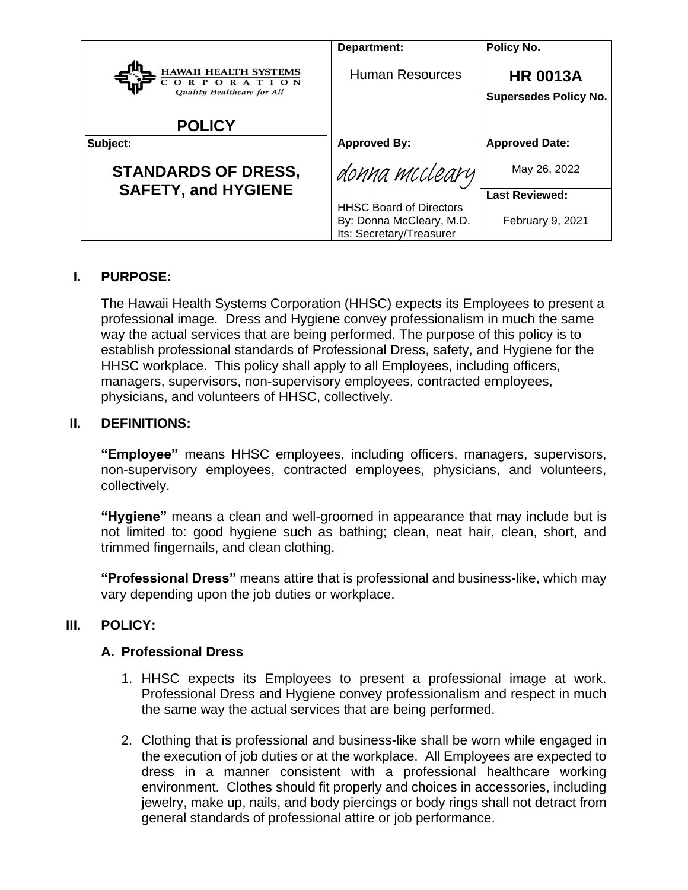|                                                                          | Department:                                                                            | Policy No.                                      |
|--------------------------------------------------------------------------|----------------------------------------------------------------------------------------|-------------------------------------------------|
| <b>HAWAII HEALTH SYSTEMS</b><br>ORPORATION<br>Quality Healthcare for All | <b>Human Resources</b>                                                                 | <b>HR 0013A</b><br><b>Supersedes Policy No.</b> |
| <b>POLICY</b>                                                            |                                                                                        |                                                 |
| Subject:                                                                 | <b>Approved By:</b>                                                                    | <b>Approved Date:</b>                           |
| <b>STANDARDS OF DRESS,</b>                                               | donna mccleary                                                                         | May 26, 2022                                    |
| <b>SAFETY, and HYGIENE</b>                                               |                                                                                        | <b>Last Reviewed:</b>                           |
|                                                                          | <b>HHSC Board of Directors</b><br>By: Donna McCleary, M.D.<br>Its: Secretary/Treasurer | February 9, 2021                                |

#### **I. PURPOSE:**

The Hawaii Health Systems Corporation (HHSC) expects its Employees to present a professional image. Dress and Hygiene convey professionalism in much the same way the actual services that are being performed. The purpose of this policy is to establish professional standards of Professional Dress, safety, and Hygiene for the HHSC workplace. This policy shall apply to all Employees, including officers, managers, supervisors, non-supervisory employees, contracted employees, physicians, and volunteers of HHSC, collectively.

#### **II. DEFINITIONS:**

**"Employee"** means HHSC employees, including officers, managers, supervisors, non-supervisory employees, contracted employees, physicians, and volunteers, collectively.

**"Hygiene"** means a clean and well-groomed in appearance that may include but is not limited to: good hygiene such as bathing; clean, neat hair, clean, short, and trimmed fingernails, and clean clothing.

**"Professional Dress"** means attire that is professional and business-like, which may vary depending upon the job duties or workplace.

# **III. POLICY:**

#### **A. Professional Dress**

- 1. HHSC expects its Employees to present a professional image at work. Professional Dress and Hygiene convey professionalism and respect in much the same way the actual services that are being performed.
- 2. Clothing that is professional and business-like shall be worn while engaged in the execution of job duties or at the workplace. All Employees are expected to dress in a manner consistent with a professional healthcare working environment. Clothes should fit properly and choices in accessories, including jewelry, make up, nails, and body piercings or body rings shall not detract from general standards of professional attire or job performance.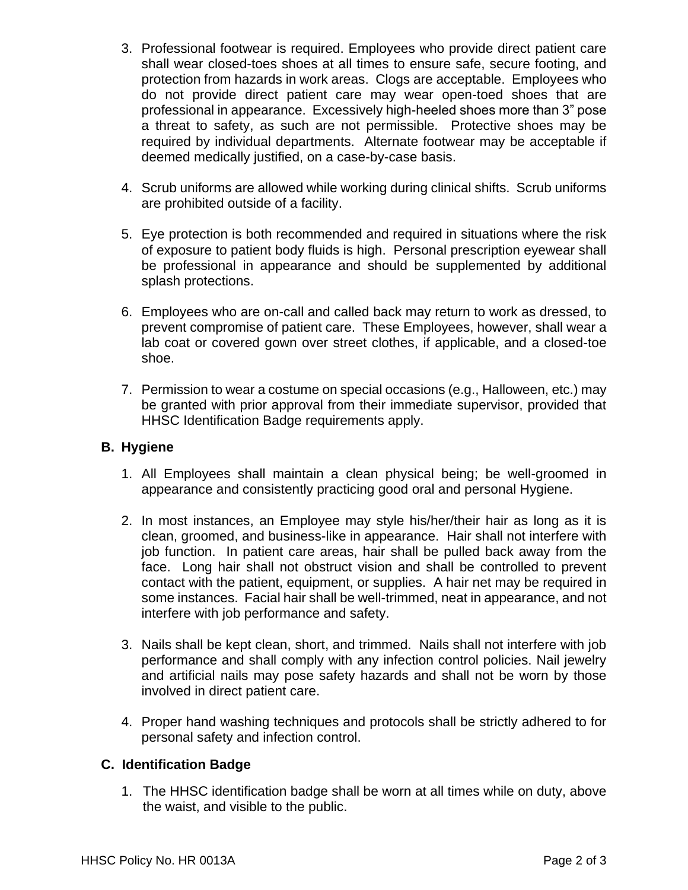- 3. Professional footwear is required. Employees who provide direct patient care shall wear closed-toes shoes at all times to ensure safe, secure footing, and protection from hazards in work areas. Clogs are acceptable. Employees who do not provide direct patient care may wear open-toed shoes that are professional in appearance. Excessively high-heeled shoes more than 3" pose a threat to safety, as such are not permissible. Protective shoes may be required by individual departments. Alternate footwear may be acceptable if deemed medically justified, on a case-by-case basis.
- 4. Scrub uniforms are allowed while working during clinical shifts. Scrub uniforms are prohibited outside of a facility.
- 5. Eye protection is both recommended and required in situations where the risk of exposure to patient body fluids is high. Personal prescription eyewear shall be professional in appearance and should be supplemented by additional splash protections.
- 6. Employees who are on-call and called back may return to work as dressed, to prevent compromise of patient care. These Employees, however, shall wear a lab coat or covered gown over street clothes, if applicable, and a closed-toe shoe.
- 7. Permission to wear a costume on special occasions (e.g., Halloween, etc.) may be granted with prior approval from their immediate supervisor, provided that HHSC Identification Badge requirements apply.

#### **B. Hygiene**

- 1. All Employees shall maintain a clean physical being; be well-groomed in appearance and consistently practicing good oral and personal Hygiene.
- 2. In most instances, an Employee may style his/her/their hair as long as it is clean, groomed, and business-like in appearance. Hair shall not interfere with job function. In patient care areas, hair shall be pulled back away from the face. Long hair shall not obstruct vision and shall be controlled to prevent contact with the patient, equipment, or supplies. A hair net may be required in some instances. Facial hair shall be well-trimmed, neat in appearance, and not interfere with job performance and safety.
- 3. Nails shall be kept clean, short, and trimmed. Nails shall not interfere with job performance and shall comply with any infection control policies. Nail jewelry and artificial nails may pose safety hazards and shall not be worn by those involved in direct patient care.
- 4. Proper hand washing techniques and protocols shall be strictly adhered to for personal safety and infection control.

#### **C. Identification Badge**

1. The HHSC identification badge shall be worn at all times while on duty, above the waist, and visible to the public.